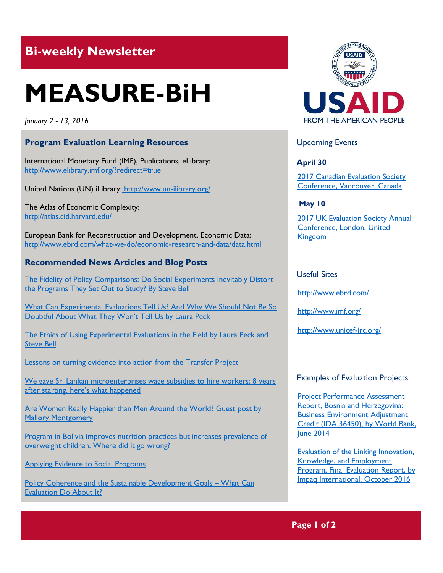# **Bi-weekly Newsletter**

# **MEASURE-BiH**

*January 2 - 13, 2016*

# **Program Evaluation Learning Resources**

International Monetary Fund (IMF), Publications, eLibrary: http://www.elibrary.imf.org/?redirect=true

United Nations (UN) iLibrary: <http://www.un-ilibrary.org/>

The Atlas of Economic Complexity: <http://atlas.cid.harvard.edu/>

European Bank for Reconstruction and Development, Economic Data: http://www.ebrd.com/what-we-do/economic-research-and-data/data.html

# **Recommended News Articles and Blog Posts**

[The Fidelity of Policy Comparisons: Do Social Experiments Inevitably Distort](http://aea365.org/blog/experiments-tig-week-the-fidelity-of-policy-comparisons-do-social-experiments-inevitably-distort-the-programs-they-set-out-to-study-by-steve-bell/?utm_source=feedburner&utm_medium=feed&utm_campaign=Feed%3A+aea365+%28AEA365%29)  [the Programs They Set Out to Study? By Steve Bell](http://aea365.org/blog/experiments-tig-week-the-fidelity-of-policy-comparisons-do-social-experiments-inevitably-distort-the-programs-they-set-out-to-study-by-steve-bell/?utm_source=feedburner&utm_medium=feed&utm_campaign=Feed%3A+aea365+%28AEA365%29)

[What Can Experimental Evaluations Tell Us? And Why We Should Not Be So](http://aea365.org/blog/experiments-tig-week-what-can-experimental-evaluations-tell-us-and-why-we-should-not-be-so-doubtful-about-what-they-wont-tell-us-by-laura-peck/?utm_source=feedburner&utm_medium=feed&utm_campaign=Feed%3A+aea365+%28AEA365%29)  [Doubtful About What They Won't Tell Us by Laura Peck](http://aea365.org/blog/experiments-tig-week-what-can-experimental-evaluations-tell-us-and-why-we-should-not-be-so-doubtful-about-what-they-wont-tell-us-by-laura-peck/?utm_source=feedburner&utm_medium=feed&utm_campaign=Feed%3A+aea365+%28AEA365%29)

[The Ethics of Using Experimental Evaluations in the Field by Laura Peck and](http://aea365.org/blog/experiments-tig-week-the-ethics-of-using-experimental-evaluations-in-the-field-by-laura-peck-and-steve-bell/?utm_source=feedburner&utm_medium=feed&utm_campaign=Feed%3A+aea365+%28AEA365%29) [Steve Bell](http://aea365.org/blog/experiments-tig-week-the-ethics-of-using-experimental-evaluations-in-the-field-by-laura-peck-and-steve-bell/?utm_source=feedburner&utm_medium=feed&utm_campaign=Feed%3A+aea365+%28AEA365%29)

Lessons on turning evidence into action from the Transfer Project

We gave Sri Lankan microenterprises wage subsidies to hire workers: 8 years [after starting, here's](http://blogs.worldbank.org/impactevaluations/we-gave-sri-lankan-microenterprises-wage-subsidies-hire-workers-8-years-after-starting-here-s-what) what happened

Are Women Really Happier than Men Around the World? Guest post by [Mallory Montgomery](http://blogs.worldbank.org/impactevaluations/are-women-really-happier-men-around-world-guest-post-mallory-montgomery)

Program in Bolivia improves nutrition practices but increases prevalence of [overweight children. Where did it go wrong?](http://blogs.iadb.org/desarrolloefectivo_en/2016/12/20/program-in-bolivia-lowers-malnutrition-but-increases-prevalence-of-overweight-children-where-did-it-go-wrong/)

[Applying Evidence to Social Programs](http://economix.blogs.nytimes.com/2012/11/29/applying-evidence-to-social-programs/?_r=0)

[Policy Coherence and the Sustainable Development Goals](https://ieg.worldbankgroup.org/blog/policy-coherence-and-sustainable-development-goals-what-can-evaluation-do-about-it) – What Can [Evaluation Do About It?](https://ieg.worldbankgroup.org/blog/policy-coherence-and-sustainable-development-goals-what-can-evaluation-do-about-it)



# Upcoming Events

**April 30**

[2017 Canadian Evaluation Society](http://mande.co.uk/conferences/?event_id1=29)  [Conference, Vancouver, Canada](http://mande.co.uk/conferences/?event_id1=29)

**May 10**

2017 UK Evaluation Society Annual [Conference, London, United](http://mande.co.uk/conferences/?event_id1=30)  [Kingdom](http://mande.co.uk/conferences/?event_id1=30)

## Useful Sites

<http://www.ebrd.com/>

<http://www.imf.org/>

<http://www.unicef-irc.org/>

#### Examples of Evaluation Projects

[Project Performance Assessment](http://ieg.worldbankgroup.org/Data/reports/BosniaHerzegovina_BusinessEnablingEnvironmentSAC_PPAR_884720PPAR0P07060Box385276B00OUO090_0.pdf)  [Report, Bosnia and Herzegovina:](http://ieg.worldbankgroup.org/Data/reports/BosniaHerzegovina_BusinessEnablingEnvironmentSAC_PPAR_884720PPAR0P07060Box385276B00OUO090_0.pdf)  [Business Environment Adjustment](http://ieg.worldbankgroup.org/Data/reports/BosniaHerzegovina_BusinessEnablingEnvironmentSAC_PPAR_884720PPAR0P07060Box385276B00OUO090_0.pdf)  [Credit \(IDA 36450\), by World Bank,](http://ieg.worldbankgroup.org/Data/reports/BosniaHerzegovina_BusinessEnablingEnvironmentSAC_PPAR_884720PPAR0P07060Box385276B00OUO090_0.pdf)  **[June 2014](http://ieg.worldbankgroup.org/Data/reports/BosniaHerzegovina_BusinessEnablingEnvironmentSAC_PPAR_884720PPAR0P07060Box385276B00OUO090_0.pdf)** 

[Evaluation of the Linking Innovation,](http://www.impaqint.com/sites/default/files/project-reports/%40LIKE%20Final%20Evaluation%20Report%20508-compliant.pdf)  [Knowledge, and Employment](http://www.impaqint.com/sites/default/files/project-reports/%40LIKE%20Final%20Evaluation%20Report%20508-compliant.pdf)  [Program, Final Evaluation Report, by](http://www.impaqint.com/sites/default/files/project-reports/%40LIKE%20Final%20Evaluation%20Report%20508-compliant.pdf)  [Impaq International, October 2016](http://www.impaqint.com/sites/default/files/project-reports/%40LIKE%20Final%20Evaluation%20Report%20508-compliant.pdf)

**Page 1 of 2**